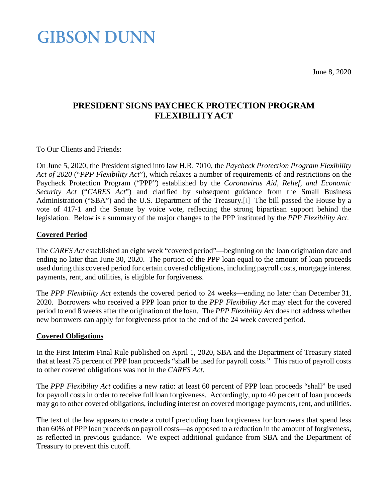**GIBSON DUNN** 

<span id="page-0-0"></span>June 8, 2020

### **PRESIDENT SIGNS PAYCHECK PROTECTION PROGRAM FLEXIBILITY ACT**

To Our Clients and Friends:

On June 5, 2020, the President signed into law H.R. 7010, the *Paycheck Protection Program Flexibility Act of 2020* ("*PPP Flexibility Act*"), which relaxes a number of requirements of and restrictions on the Paycheck Protection Program ("PPP") established by the *Coronavirus Aid, Relief, and Economic Security Act* ("*CARES Act*") and clarified by subsequent guidance from the Small Business Administration ("SBA") and the U.S. Department of the Treasury[.\[i\]](#page-2-0) The bill passed the House by a vote of 417-1 and the Senate by voice vote, reflecting the strong bipartisan support behind the legislation. Below is a summary of the major changes to the PPP instituted by the *PPP Flexibility Act*.

#### **Covered Period**

The *CARES Act* established an eight week "covered period"—beginning on the loan origination date and ending no later than June 30, 2020. The portion of the PPP loan equal to the amount of loan proceeds used during this covered period for certain covered obligations, including payroll costs, mortgage interest payments, rent, and utilities, is eligible for forgiveness.

The *PPP Flexibility Act* extends the covered period to 24 weeks—ending no later than December 31, 2020. Borrowers who received a PPP loan prior to the *PPP Flexibility Act* may elect for the covered period to end 8 weeks after the origination of the loan. The *PPP Flexibility Act* does not address whether new borrowers can apply for forgiveness prior to the end of the 24 week covered period.

#### **Covered Obligations**

In the First Interim Final Rule published on April 1, 2020, SBA and the Department of Treasury stated that at least 75 percent of PPP loan proceeds "shall be used for payroll costs." This ratio of payroll costs to other covered obligations was not in the *CARES Act*.

The *PPP Flexibility Act* codifies a new ratio: at least 60 percent of PPP loan proceeds "shall" be used for payroll costs in order to receive full loan forgiveness. Accordingly, up to 40 percent of loan proceeds may go to other covered obligations, including interest on covered mortgage payments, rent, and utilities.

The text of the law appears to create a cutoff precluding loan forgiveness for borrowers that spend less than 60% of PPP loan proceeds on payroll costs—as opposed to a reduction in the amount of forgiveness, as reflected in previous guidance. We expect additional guidance from SBA and the Department of Treasury to prevent this cutoff.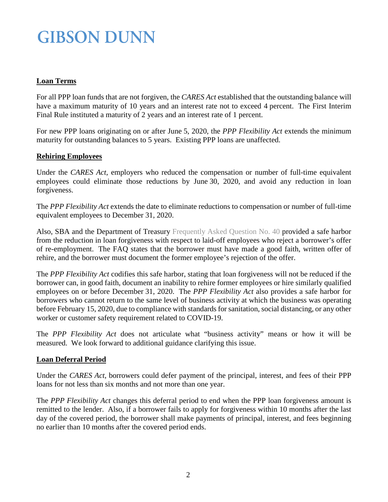# **GIBSON DUNN**

#### **Loan Terms**

For all PPP loan funds that are not forgiven, the *CARES Act* established that the outstanding balance will have a maximum maturity of 10 years and an interest rate not to exceed 4 percent. The First Interim Final Rule instituted a maturity of 2 years and an interest rate of 1 percent.

For new PPP loans originating on or after June 5, 2020, the *PPP Flexibility Act* extends the minimum maturity for outstanding balances to 5 years. Existing PPP loans are unaffected.

#### **Rehiring Employees**

Under the *CARES Act*, employers who reduced the compensation or number of full-time equivalent employees could eliminate those reductions by June 30, 2020, and avoid any reduction in loan forgiveness.

The *PPP Flexibility Act* extends the date to eliminate reductions to compensation or number of full-time equivalent employees to December 31, 2020.

Also, SBA and the Department of Treasury [Frequently Asked Question No. 40](https://home.treasury.gov/system/files/136/Paycheck-Protection-Program-Frequently-Asked-Questions.pdf) provided a safe harbor from the reduction in loan forgiveness with respect to laid-off employees who reject a borrower's offer of re-employment. The FAQ states that the borrower must have made a good faith, written offer of rehire, and the borrower must document the former employee's rejection of the offer.

The *PPP Flexibility Act* codifies this safe harbor, stating that loan forgiveness will not be reduced if the borrower can, in good faith, document an inability to rehire former employees or hire similarly qualified employees on or before December 31, 2020. The *PPP Flexibility Act* also provides a safe harbor for borrowers who cannot return to the same level of business activity at which the business was operating before February 15, 2020, due to compliance with standards for sanitation, social distancing, or any other worker or customer safety requirement related to COVID-19.

The *PPP Flexibility Act* does not articulate what "business activity" means or how it will be measured. We look forward to additional guidance clarifying this issue.

#### **Loan Deferral Period**

Under the *CARES Act*, borrowers could defer payment of the principal, interest, and fees of their PPP loans for not less than six months and not more than one year.

The *PPP Flexibility Act* changes this deferral period to end when the PPP loan forgiveness amount is remitted to the lender. Also, if a borrower fails to apply for forgiveness within 10 months after the last day of the covered period, the borrower shall make payments of principal, interest, and fees beginning no earlier than 10 months after the covered period ends.